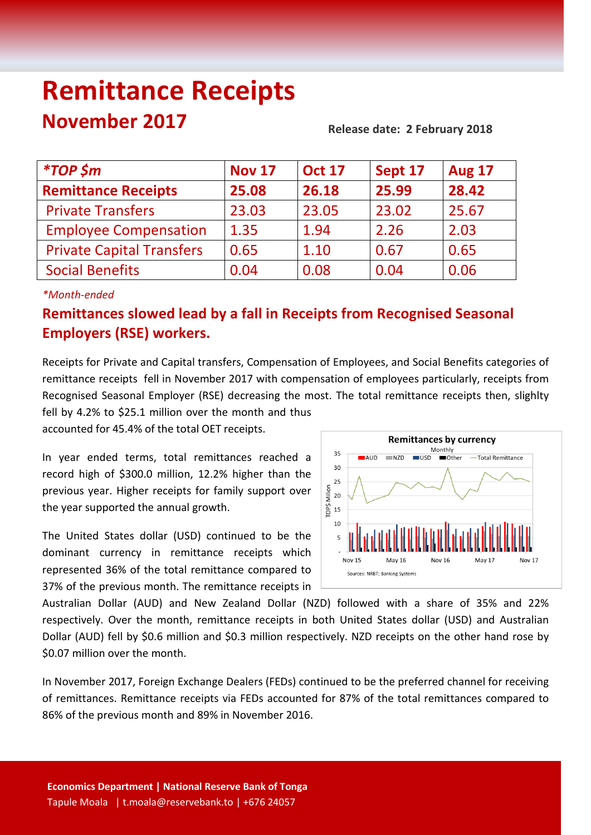# **Remittance Receipts November 2017** Release date: 2 February 2018

| <i>*TOP \$m</i>                  | <b>Nov 17</b> | <b>Oct 17</b> | Sept 17 | <b>Aug 17</b> |
|----------------------------------|---------------|---------------|---------|---------------|
| <b>Remittance Receipts</b>       | 25.08         | 26.18         | 25.99   | 28.42         |
| <b>Private Transfers</b>         | 23.03         | 23.05         | 23.02   | 25.67         |
| <b>Employee Compensation</b>     | 1.35          | 1.94          | 2.26    | 2.03          |
| <b>Private Capital Transfers</b> | 0.65          | 1.10          | 0.67    | 0.65          |
| <b>Social Benefits</b>           | 0.04          | 0.08          | 0.04    | 0.06          |

#### *\*Month-ended*

## **Remittances slowed lead by a fall in Receipts from Recognised Seasonal Employers (RSE) workers.**

Receipts for Private and Capital transfers, Compensation of Employees, and Social Benefits categories of remittance receipts fell in November 2017 with compensation of employees particularly, receipts from Recognised Seasonal Employer (RSE) decreasing the most. The total remittance receipts then, slighlty fell by 4.2% to \$25.1 million over the month and thus

accounted for 45.4% of the total OET receipts.

In year ended terms, total remittances reached a record high of \$300.0 million, 12.2% higher than the previous year. Higher receipts for family support over the year supported the annual growth.

The United States dollar (USD) continued to be the dominant currency in remittance receipts which represented 36% of the total remittance compared to 37% of the previous month. The remittance receipts in



Australian Dollar (AUD) and New Zealand Dollar (NZD) followed with a share of 35% and 22% respectively. Over the month, remittance receipts in both United States dollar (USD) and Australian Dollar (AUD) fell by \$0.6 million and \$0.3 million respectively. NZD receipts on the other hand rose by \$0.07 million over the month.

In November 2017, Foreign Exchange Dealers (FEDs) continued to be the preferred channel for receiving of remittances. Remittance receipts via FEDs accounted for 87% of the total remittances compared to 86% of the previous month and 89% in November 2016.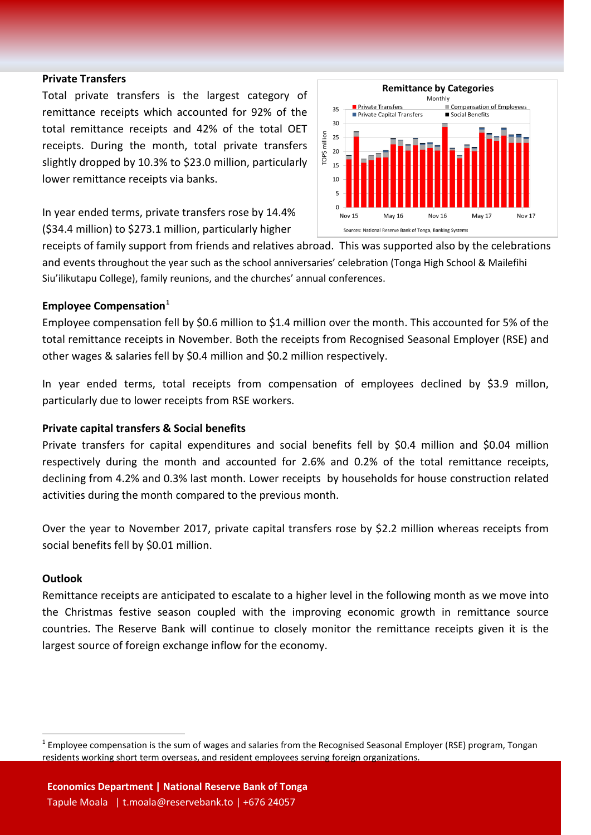#### **Private Transfers**

Total private transfers is the largest category of remittance receipts which accounted for 92% of the total remittance receipts and 42% of the total OET receipts. During the month, total private transfers slightly dropped by 10.3% to \$23.0 million, particularly lower remittance receipts via banks.

In year ended terms, private transfers rose by 14.4% (\$34.4 million) to \$273.1 million, particularly higher



receipts of family support from friends and relatives abroad. This was supported also by the celebrations and events throughout the year such as the school anniversaries' celebration (Tonga High School & Mailefihi Siu'ilikutapu College), family reunions, and the churches' annual conferences.

#### **Employee Compensation[1](#page-1-0)**

Employee compensation fell by \$0.6 million to \$1.4 million over the month. This accounted for 5% of the total remittance receipts in November. Both the receipts from Recognised Seasonal Employer (RSE) and other wages & salaries fell by \$0.4 million and \$0.2 million respectively.

In year ended terms, total receipts from compensation of employees declined by \$3.9 millon, particularly due to lower receipts from RSE workers.

#### **Private capital transfers & Social benefits**

Private transfers for capital expenditures and social benefits fell by \$0.4 million and \$0.04 million respectively during the month and accounted for 2.6% and 0.2% of the total remittance receipts, declining from 4.2% and 0.3% last month. Lower receipts by households for house construction related activities during the month compared to the previous month.

Over the year to November 2017, private capital transfers rose by \$2.2 million whereas receipts from social benefits fell by \$0.01 million.

#### **Outlook**

Remittance receipts are anticipated to escalate to a higher level in the following month as we move into the Christmas festive season coupled with the improving economic growth in remittance source countries. The Reserve Bank will continue to closely monitor the remittance receipts given it is the largest source of foreign exchange inflow for the economy.

<span id="page-1-0"></span> $1$  Employee compensation is the sum of wages and salaries from the Recognised Seasonal Employer (RSE) program, Tongan residents working short term overseas, and resident employees serving foreign organizations.